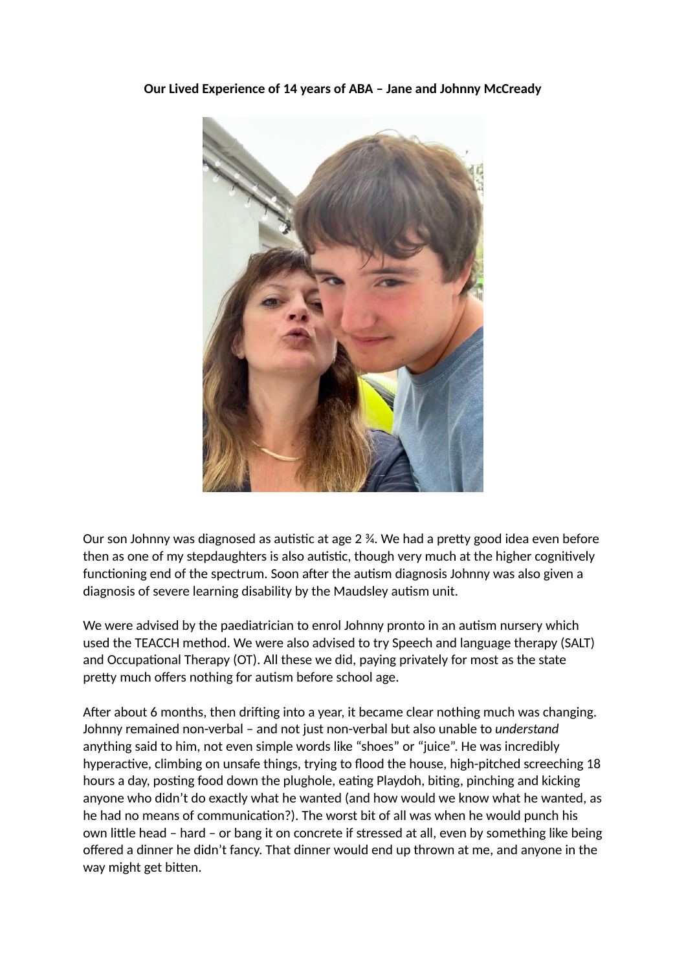**Our Lived Experience of 14 years of ABA – Jane and Johnny McCready** 



Our son Johnny was diagnosed as autistic at age  $2 \frac{1}{2}$ . We had a pretty good idea even before then as one of my stepdaughters is also autistic, though very much at the higher cognitively functioning end of the spectrum. Soon after the autism diagnosis Johnny was also given a diagnosis of severe learning disability by the Maudsley autism unit.

We were advised by the paediatrician to enrol Johnny pronto in an autism nursery which used the TEACCH method. We were also advised to try Speech and language therapy (SALT) and Occupational Therapy (OT). All these we did, paying privately for most as the state pretty much offers nothing for autism before school age.

After about 6 months, then drifting into a year, it became clear nothing much was changing. Johnny remained non-verbal – and not just non-verbal but also unable to *understand* anything said to him, not even simple words like "shoes" or "juice". He was incredibly hyperactive, climbing on unsafe things, trying to flood the house, high-pitched screeching 18 hours a day, posting food down the plughole, eating Playdoh, biting, pinching and kicking anyone who didn't do exactly what he wanted (and how would we know what he wanted, as he had no means of communication?). The worst bit of all was when he would punch his own little head – hard – or bang it on concrete if stressed at all, even by something like being offered a dinner he didn't fancy. That dinner would end up thrown at me, and anyone in the way might get bitten.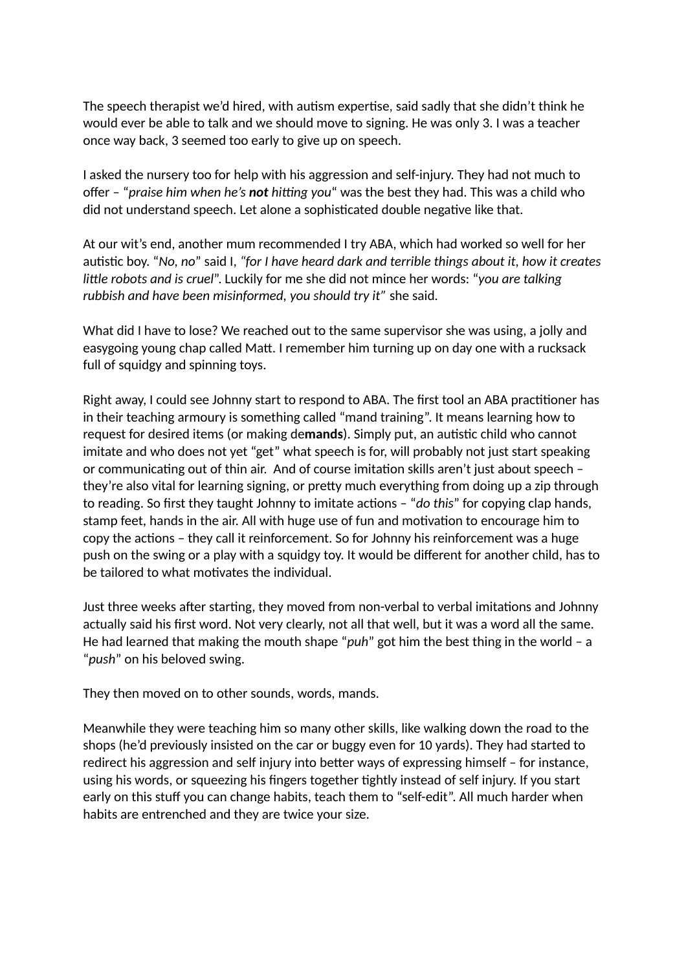The speech therapist we'd hired, with autism expertise, said sadly that she didn't think he would ever be able to talk and we should move to signing. He was only 3. I was a teacher once way back, 3 seemed too early to give up on speech.

I asked the nursery too for help with his aggression and self-injury. They had not much to offer – "*praise him when he's* not *hitting you*" was the best they had. This was a child who did not understand speech. Let alone a sophisticated double negative like that.

At our wit's end, another mum recommended I try ABA, which had worked so well for her autistic boy. "No, no" said I, "for I have heard dark and terrible things about it, how it creates *little robots and is cruel*". Luckily for me she did not mince her words: "you are talking *rubbish and have been misinformed, you should try it"* she said*.* 

What did I have to lose? We reached out to the same supervisor she was using, a jolly and easygoing young chap called Matt. I remember him turning up on day one with a rucksack full of squidgy and spinning toys.

Right away, I could see Johnny start to respond to ABA. The first tool an ABA practitioner has in their teaching armoury is something called "mand training". It means learning how to request for desired items (or making demands). Simply put, an autistic child who cannot imitate and who does not yet "get" what speech is for, will probably not just start speaking or communicating out of thin air. And of course imitation skills aren't just about speech they're also vital for learning signing, or pretty much everything from doing up a zip through to reading. So first they taught Johnny to imitate actions - "do this" for copying clap hands, stamp feet, hands in the air. All with huge use of fun and motivation to encourage him to copy the actions - they call it reinforcement. So for Johnny his reinforcement was a huge push on the swing or a play with a squidgy toy. It would be different for another child, has to be tailored to what motivates the individual.

Just three weeks after starting, they moved from non-verbal to verbal imitations and Johnny actually said his first word. Not very clearly, not all that well, but it was a word all the same. He had learned that making the mouth shape "*puh*" got him the best thing in the world – a "*push*" on his beloved swing.

They then moved on to other sounds, words, mands.

Meanwhile they were teaching him so many other skills, like walking down the road to the shops (he'd previously insisted on the car or buggy even for 10 yards). They had started to redirect his aggression and self injury into better ways of expressing himself – for instance, using his words, or squeezing his fingers together tightly instead of self injury. If you start early on this stuff you can change habits, teach them to "self-edit". All much harder when habits are entrenched and they are twice your size.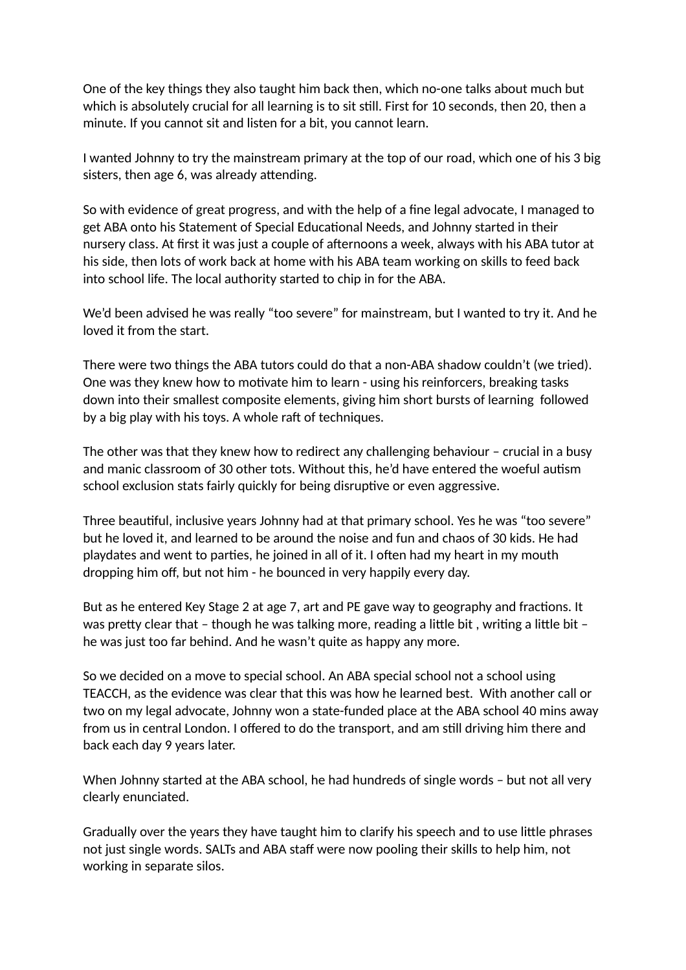One of the key things they also taught him back then, which no-one talks about much but which is absolutely crucial for all learning is to sit still. First for 10 seconds, then 20, then a minute. If you cannot sit and listen for a bit, you cannot learn.

I wanted Johnny to try the mainstream primary at the top of our road, which one of his 3 big sisters, then age 6, was already attending.

So with evidence of great progress, and with the help of a fine legal advocate, I managed to get ABA onto his Statement of Special Educational Needs, and Johnny started in their nursery class. At first it was just a couple of afternoons a week, always with his ABA tutor at his side, then lots of work back at home with his ABA team working on skills to feed back into school life. The local authority started to chip in for the ABA.

We'd been advised he was really "too severe" for mainstream, but I wanted to try it. And he loved it from the start.

There were two things the ABA tutors could do that a non-ABA shadow couldn't (we tried). One was they knew how to motivate him to learn - using his reinforcers, breaking tasks down into their smallest composite elements, giving him short bursts of learning followed by a big play with his toys. A whole raft of techniques.

The other was that they knew how to redirect any challenging behaviour – crucial in a busy and manic classroom of 30 other tots. Without this, he'd have entered the woeful autism school exclusion stats fairly quickly for being disruptive or even aggressive.

Three beautiful, inclusive years Johnny had at that primary school. Yes he was "too severe" but he loved it, and learned to be around the noise and fun and chaos of 30 kids. He had playdates and went to parties, he joined in all of it. I often had my heart in my mouth dropping him off, but not him - he bounced in very happily every day.

But as he entered Key Stage 2 at age 7, art and PE gave way to geography and fractions. It was pretty clear that – though he was talking more, reading a little bit, writing a little bit – he was just too far behind. And he wasn't quite as happy any more.

So we decided on a move to special school. An ABA special school not a school using TEACCH, as the evidence was clear that this was how he learned best. With another call or two on my legal advocate, Johnny won a state-funded place at the ABA school 40 mins away from us in central London. I offered to do the transport, and am still driving him there and back each day 9 years later.

When Johnny started at the ABA school, he had hundreds of single words – but not all very clearly enunciated.

Gradually over the years they have taught him to clarify his speech and to use little phrases not just single words. SALTs and ABA staff were now pooling their skills to help him, not working in separate silos.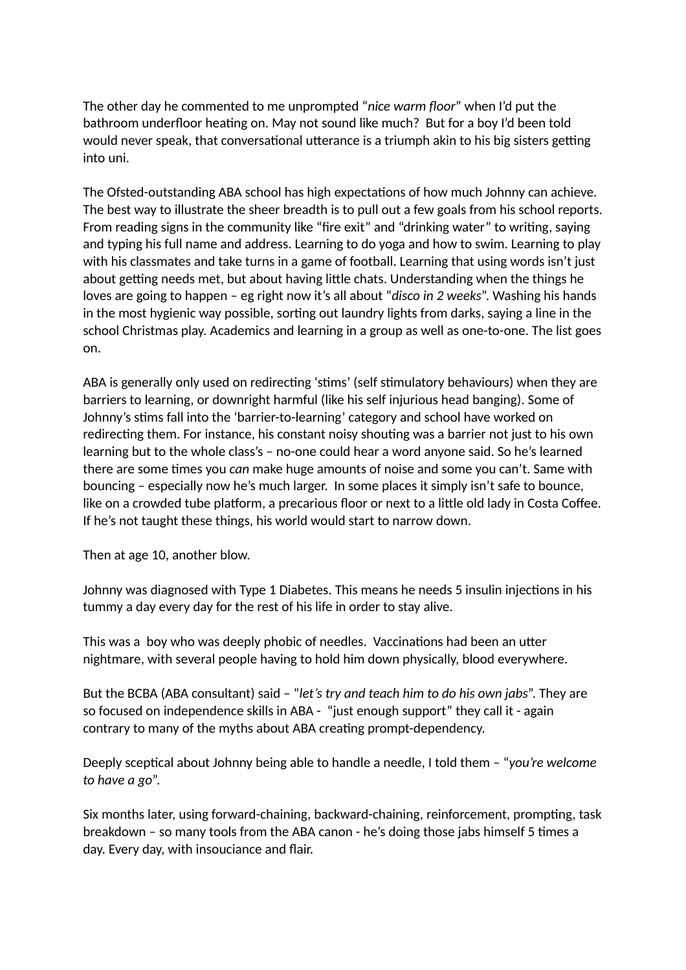The other day he commented to me unprompted "*nice warm floor*" when I'd put the bathroom underfloor heating on. May not sound like much? But for a boy I'd been told would never speak, that conversational utterance is a triumph akin to his big sisters getting into uni.

The Ofsted-outstanding ABA school has high expectations of how much Johnny can achieve. The best way to illustrate the sheer breadth is to pull out a few goals from his school reports. From reading signs in the community like "fire exit" and "drinking water" to writing, saying and typing his full name and address. Learning to do yoga and how to swim. Learning to play with his classmates and take turns in a game of football. Learning that using words isn't just about getting needs met, but about having little chats. Understanding when the things he loves are going to happen – eg right now it's all about "*disco in 2 weeks*". Washing his hands in the most hygienic way possible, sorting out laundry lights from darks, saying a line in the school Christmas play. Academics and learning in a group as well as one-to-one. The list goes on.

ABA is generally only used on redirecting 'stims' (self stimulatory behaviours) when they are barriers to learning, or downright harmful (like his self injurious head banging). Some of Johnny's stims fall into the 'barrier-to-learning' category and school have worked on redirecting them. For instance, his constant noisy shouting was a barrier not just to his own learning but to the whole class's – no-one could hear a word anyone said. So he's learned there are some times you *can* make huge amounts of noise and some you can't. Same with bouncing – especially now he's much larger. In some places it simply isn't safe to bounce, like on a crowded tube platform, a precarious floor or next to a little old lady in Costa Coffee. If he's not taught these things, his world would start to narrow down.

Then at age 10, another blow.

Johnny was diagnosed with Type 1 Diabetes. This means he needs 5 insulin injections in his tummy a day every day for the rest of his life in order to stay alive.

This was a boy who was deeply phobic of needles. Vaccinations had been an utter nightmare, with several people having to hold him down physically, blood everywhere.

But the BCBA (ABA consultant) said – "*let's try and teach him to do his own jabs*". They are so focused on independence skills in ABA - "just enough support" they call it - again contrary to many of the myths about ABA creating prompt-dependency.

Deeply sceptical about Johnny being able to handle a needle, I told them – "*you're welcome to have a go*".

Six months later, using forward-chaining, backward-chaining, reinforcement, prompting, task breakdown – so many tools from the ABA canon - he's doing those jabs himself 5 times a day. Every day, with insouciance and flair.